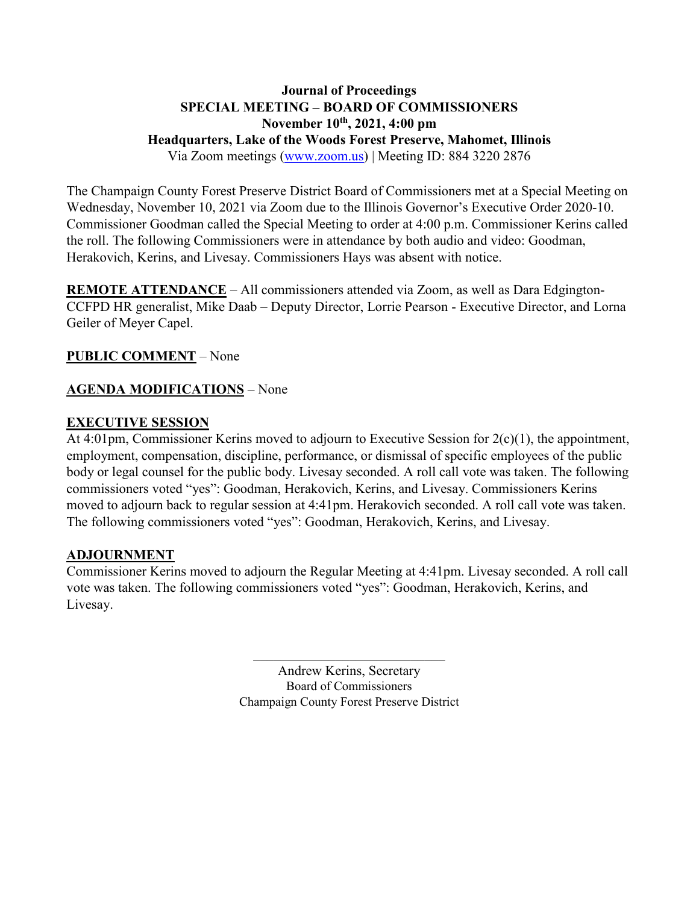### **Journal of Proceedings SPECIAL MEETING – BOARD OF COMMISSIONERS November 10th, 2021, 4:00 pm Headquarters, Lake of the Woods Forest Preserve, Mahomet, Illinois** Via Zoom meetings [\(www.zoom.us\)](http://www.zoom.us/) | Meeting ID: 884 3220 2876

The Champaign County Forest Preserve District Board of Commissioners met at a Special Meeting on Wednesday, November 10, 2021 via Zoom due to the Illinois Governor's Executive Order 2020-10. Commissioner Goodman called the Special Meeting to order at 4:00 p.m. Commissioner Kerins called the roll. The following Commissioners were in attendance by both audio and video: Goodman, Herakovich, Kerins, and Livesay. Commissioners Hays was absent with notice.

**REMOTE ATTENDANCE** – All commissioners attended via Zoom, as well as Dara Edgington-CCFPD HR generalist, Mike Daab – Deputy Director, Lorrie Pearson - Executive Director, and Lorna Geiler of Meyer Capel.

## **PUBLIC COMMENT** – None

## **AGENDA MODIFICATIONS** – None

### **EXECUTIVE SESSION**

At 4:01pm, Commissioner Kerins moved to adjourn to Executive Session for 2(c)(1), the appointment, employment, compensation, discipline, performance, or dismissal of specific employees of the public body or legal counsel for the public body. Livesay seconded. A roll call vote was taken. The following commissioners voted "yes": Goodman, Herakovich, Kerins, and Livesay. Commissioners Kerins moved to adjourn back to regular session at 4:41pm. Herakovich seconded. A roll call vote was taken. The following commissioners voted "yes": Goodman, Herakovich, Kerins, and Livesay.

### **ADJOURNMENT**

Commissioner Kerins moved to adjourn the Regular Meeting at 4:41pm. Livesay seconded. A roll call vote was taken. The following commissioners voted "yes": Goodman, Herakovich, Kerins, and Livesay.

> Andrew Kerins, Secretary Board of Commissioners Champaign County Forest Preserve District

 $\mathcal{L}_\text{max}$  , where  $\mathcal{L}_\text{max}$  and  $\mathcal{L}_\text{max}$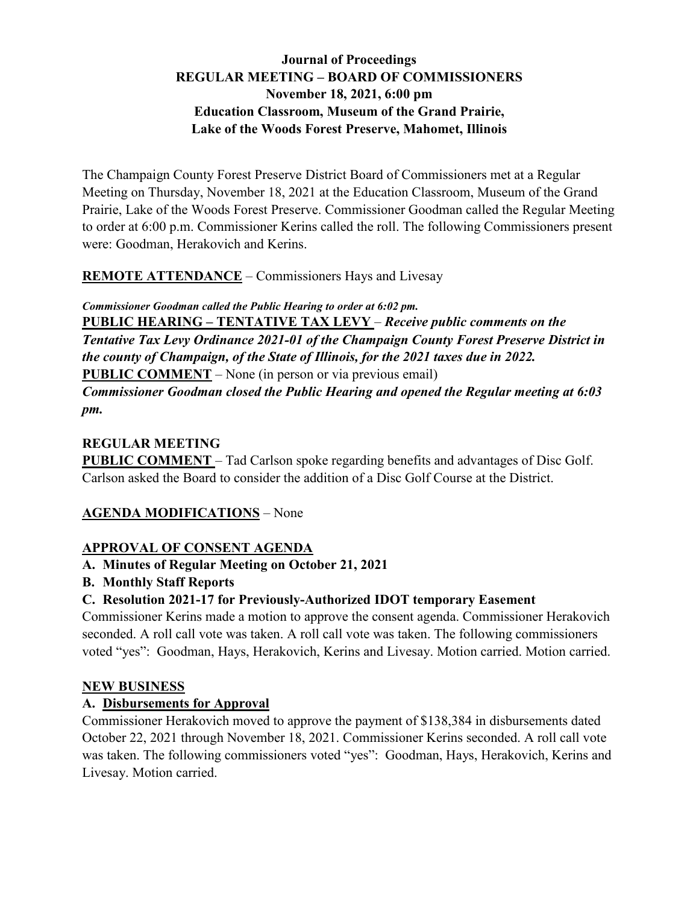# **Journal of Proceedings REGULAR MEETING – BOARD OF COMMISSIONERS November 18, 2021, 6:00 pm Education Classroom, Museum of the Grand Prairie, Lake of the Woods Forest Preserve, Mahomet, Illinois**

The Champaign County Forest Preserve District Board of Commissioners met at a Regular Meeting on Thursday, November 18, 2021 at the Education Classroom, Museum of the Grand Prairie, Lake of the Woods Forest Preserve. Commissioner Goodman called the Regular Meeting to order at 6:00 p.m. Commissioner Kerins called the roll. The following Commissioners present were: Goodman, Herakovich and Kerins.

**REMOTE ATTENDANCE** – Commissioners Hays and Livesay

*Commissioner Goodman called the Public Hearing to order at 6:02 pm.*

**PUBLIC HEARING – TENTATIVE TAX LEVY** – *Receive public comments on the Tentative Tax Levy Ordinance 2021-01 of the Champaign County Forest Preserve District in the county of Champaign, of the State of Illinois, for the 2021 taxes due in 2022.* **PUBLIC COMMENT** – None (in person or via previous email)

*Commissioner Goodman closed the Public Hearing and opened the Regular meeting at 6:03 pm.*

# **REGULAR MEETING**

**PUBLIC COMMENT** – Tad Carlson spoke regarding benefits and advantages of Disc Golf. Carlson asked the Board to consider the addition of a Disc Golf Course at the District.

# **AGENDA MODIFICATIONS** – None

# **APPROVAL OF CONSENT AGENDA**

# **A. Minutes of Regular Meeting on October 21, 2021**

**B. Monthly Staff Reports**

# **C. Resolution 2021-17 for Previously-Authorized IDOT temporary Easement**

Commissioner Kerins made a motion to approve the consent agenda. Commissioner Herakovich seconded. A roll call vote was taken. A roll call vote was taken. The following commissioners voted "yes": Goodman, Hays, Herakovich, Kerins and Livesay. Motion carried. Motion carried.

## **NEW BUSINESS**

# **A. Disbursements for Approval**

Commissioner Herakovich moved to approve the payment of \$138,384 in disbursements dated October 22, 2021 through November 18, 2021. Commissioner Kerins seconded. A roll call vote was taken. The following commissioners voted "yes": Goodman, Hays, Herakovich, Kerins and Livesay. Motion carried.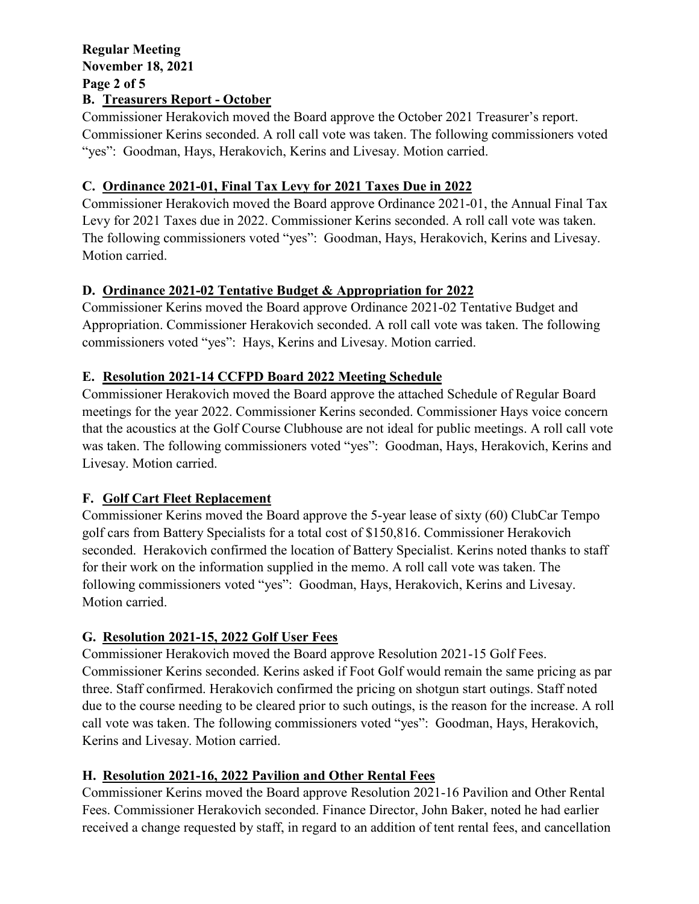### **Regular Meeting November 18, 2021 Page 2 of 5 B. Treasurers Report - October**

Commissioner Herakovich moved the Board approve the October 2021 Treasurer's report. Commissioner Kerins seconded. A roll call vote was taken. The following commissioners voted "yes": Goodman, Hays, Herakovich, Kerins and Livesay. Motion carried.

# **C. Ordinance 2021-01, Final Tax Levy for 2021 Taxes Due in 2022**

Commissioner Herakovich moved the Board approve Ordinance 2021-01, the Annual Final Tax Levy for 2021 Taxes due in 2022. Commissioner Kerins seconded. A roll call vote was taken. The following commissioners voted "yes": Goodman, Hays, Herakovich, Kerins and Livesay. Motion carried.

## **D. Ordinance 2021-02 Tentative Budget & Appropriation for 2022**

Commissioner Kerins moved the Board approve Ordinance 2021-02 Tentative Budget and Appropriation. Commissioner Herakovich seconded. A roll call vote was taken. The following commissioners voted "yes": Hays, Kerins and Livesay. Motion carried.

## **E. Resolution 2021-14 CCFPD Board 2022 Meeting Schedule**

Commissioner Herakovich moved the Board approve the attached Schedule of Regular Board meetings for the year 2022. Commissioner Kerins seconded. Commissioner Hays voice concern that the acoustics at the Golf Course Clubhouse are not ideal for public meetings. A roll call vote was taken. The following commissioners voted "yes": Goodman, Hays, Herakovich, Kerins and Livesay. Motion carried.

# **F. Golf Cart Fleet Replacement**

Commissioner Kerins moved the Board approve the 5-year lease of sixty (60) ClubCar Tempo golf cars from Battery Specialists for a total cost of \$150,816. Commissioner Herakovich seconded. Herakovich confirmed the location of Battery Specialist. Kerins noted thanks to staff for their work on the information supplied in the memo. A roll call vote was taken. The following commissioners voted "yes": Goodman, Hays, Herakovich, Kerins and Livesay. Motion carried.

# **G. Resolution 2021-15, 2022 Golf User Fees**

Commissioner Herakovich moved the Board approve Resolution 2021-15 Golf Fees. Commissioner Kerins seconded. Kerins asked if Foot Golf would remain the same pricing as par three. Staff confirmed. Herakovich confirmed the pricing on shotgun start outings. Staff noted due to the course needing to be cleared prior to such outings, is the reason for the increase. A roll call vote was taken. The following commissioners voted "yes": Goodman, Hays, Herakovich, Kerins and Livesay. Motion carried.

# **H. Resolution 2021-16, 2022 Pavilion and Other Rental Fees**

Commissioner Kerins moved the Board approve Resolution 2021-16 Pavilion and Other Rental Fees. Commissioner Herakovich seconded. Finance Director, John Baker, noted he had earlier received a change requested by staff, in regard to an addition of tent rental fees, and cancellation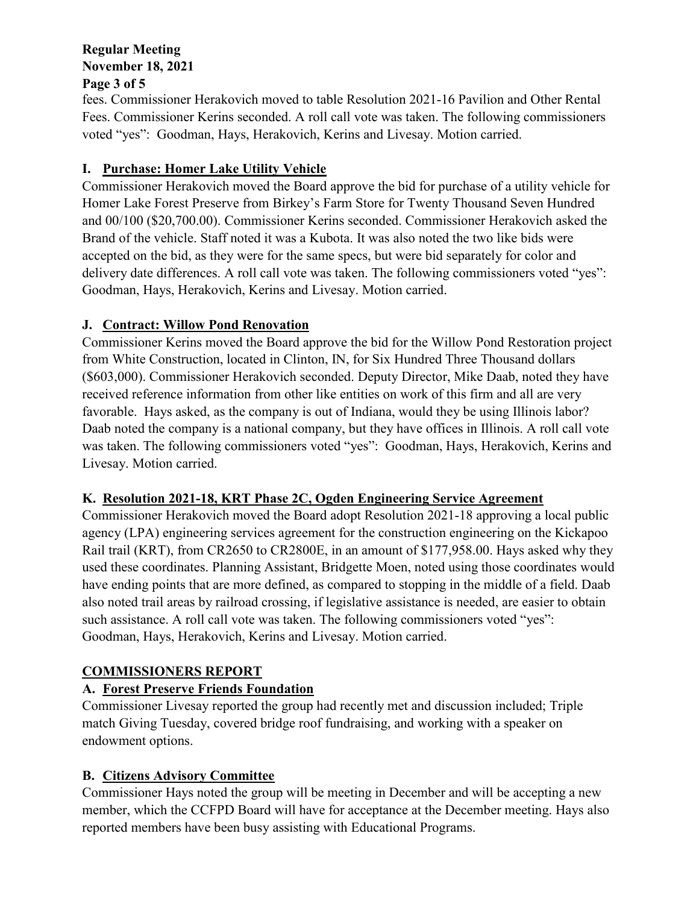### **Regular Meeting November 18, 2021 Page 3 of 5**

# fees. Commissioner Herakovich moved to table Resolution 2021-16 Pavilion and Other Rental Fees. Commissioner Kerins seconded. A roll call vote was taken. The following commissioners voted "yes": Goodman, Hays, Herakovich, Kerins and Livesay. Motion carried.

# **I. Purchase: Homer Lake Utility Vehicle**

Commissioner Herakovich moved the Board approve the bid for purchase of a utility vehicle for Homer Lake Forest Preserve from Birkey's Farm Store for Twenty Thousand Seven Hundred and 00/100 (\$20,700.00). Commissioner Kerins seconded. Commissioner Herakovich asked the Brand of the vehicle. Staff noted it was a Kubota. It was also noted the two like bids were accepted on the bid, as they were for the same specs, but were bid separately for color and delivery date differences. A roll call vote was taken. The following commissioners voted "yes": Goodman, Hays, Herakovich, Kerins and Livesay. Motion carried.

# **J. Contract: Willow Pond Renovation**

Commissioner Kerins moved the Board approve the bid for the Willow Pond Restoration project from White Construction, located in Clinton, IN, for Six Hundred Three Thousand dollars (\$603,000). Commissioner Herakovich seconded. Deputy Director, Mike Daab, noted they have received reference information from other like entities on work of this firm and all are very favorable. Hays asked, as the company is out of Indiana, would they be using Illinois labor? Daab noted the company is a national company, but they have offices in Illinois. A roll call vote was taken. The following commissioners voted "yes": Goodman, Hays, Herakovich, Kerins and Livesay. Motion carried.

# **K. Resolution 2021-18, KRT Phase 2C, Ogden Engineering Service Agreement**

Commissioner Herakovich moved the Board adopt Resolution 2021-18 approving a local public agency (LPA) engineering services agreement for the construction engineering on the Kickapoo Rail trail (KRT), from CR2650 to CR2800E, in an amount of \$177,958.00. Hays asked why they used these coordinates. Planning Assistant, Bridgette Moen, noted using those coordinates would have ending points that are more defined, as compared to stopping in the middle of a field. Daab also noted trail areas by railroad crossing, if legislative assistance is needed, are easier to obtain such assistance. A roll call vote was taken. The following commissioners voted "yes": Goodman, Hays, Herakovich, Kerins and Livesay. Motion carried.

# **COMMISSIONERS REPORT**

# **A. Forest Preserve Friends Foundation**

Commissioner Livesay reported the group had recently met and discussion included; Triple match Giving Tuesday, covered bridge roof fundraising, and working with a speaker on endowment options.

# **B. Citizens Advisory Committee**

Commissioner Hays noted the group will be meeting in December and will be accepting a new member, which the CCFPD Board will have for acceptance at the December meeting. Hays also reported members have been busy assisting with Educational Programs.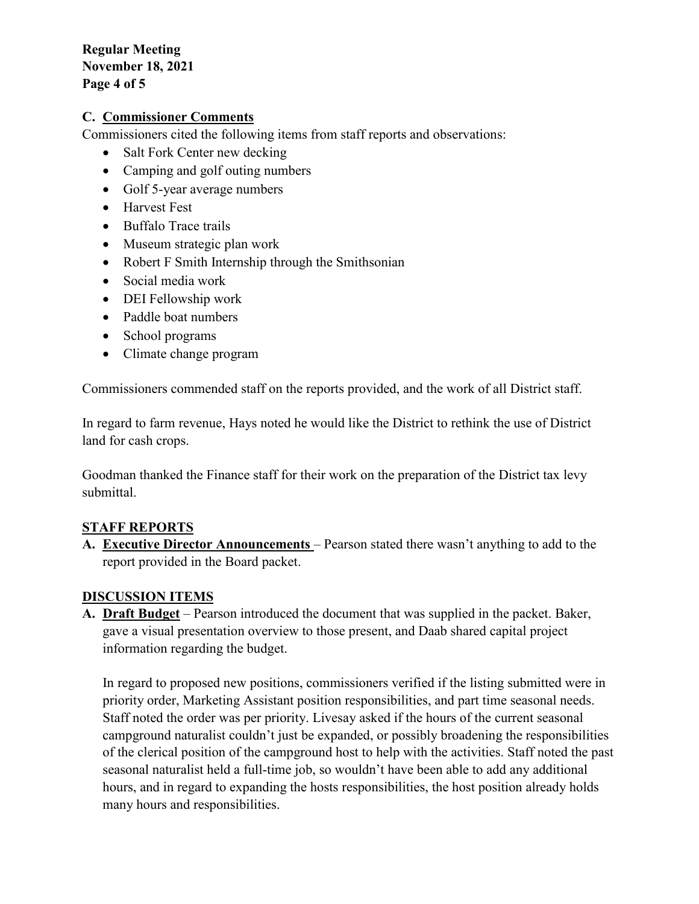**Regular Meeting November 18, 2021 Page 4 of 5**

#### **C. Commissioner Comments**

Commissioners cited the following items from staff reports and observations:

- Salt Fork Center new decking
- Camping and golf outing numbers
- Golf 5-year average numbers
- Harvest Fest
- Buffalo Trace trails
- Museum strategic plan work
- Robert F Smith Internship through the Smithsonian
- Social media work
- DEI Fellowship work
- Paddle boat numbers
- School programs
- Climate change program

Commissioners commended staff on the reports provided, and the work of all District staff.

In regard to farm revenue, Hays noted he would like the District to rethink the use of District land for cash crops.

Goodman thanked the Finance staff for their work on the preparation of the District tax levy submittal.

### **STAFF REPORTS**

**A. Executive Director Announcements** – Pearson stated there wasn't anything to add to the report provided in the Board packet.

#### **DISCUSSION ITEMS**

**A. Draft Budget** – Pearson introduced the document that was supplied in the packet. Baker, gave a visual presentation overview to those present, and Daab shared capital project information regarding the budget.

In regard to proposed new positions, commissioners verified if the listing submitted were in priority order, Marketing Assistant position responsibilities, and part time seasonal needs. Staff noted the order was per priority. Livesay asked if the hours of the current seasonal campground naturalist couldn't just be expanded, or possibly broadening the responsibilities of the clerical position of the campground host to help with the activities. Staff noted the past seasonal naturalist held a full-time job, so wouldn't have been able to add any additional hours, and in regard to expanding the hosts responsibilities, the host position already holds many hours and responsibilities.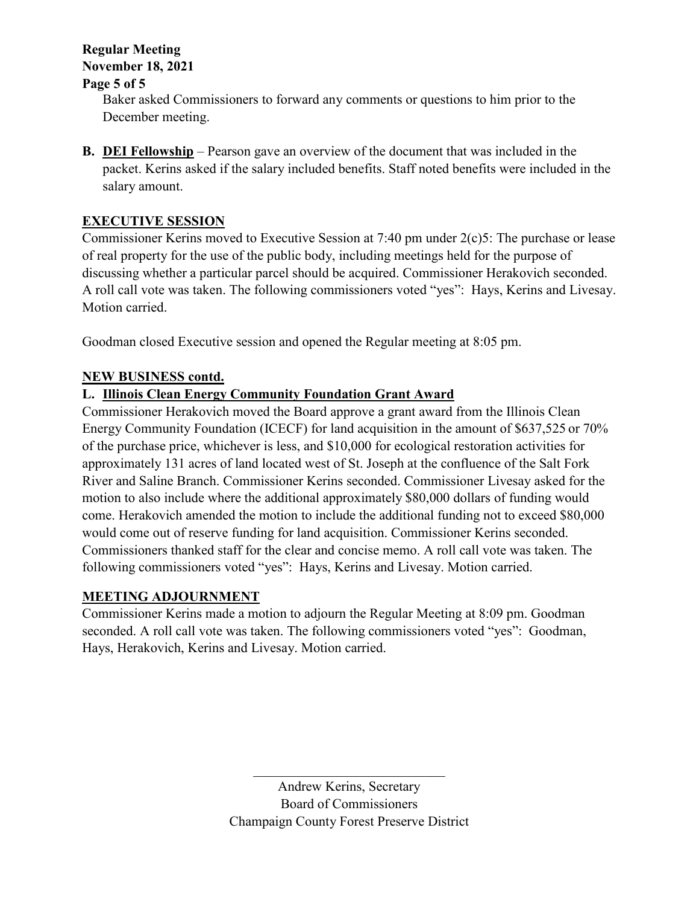# **Regular Meeting November 18, 2021**

# **Page 5 of 5**

Baker asked Commissioners to forward any comments or questions to him prior to the December meeting.

**B. DEI Fellowship** – Pearson gave an overview of the document that was included in the packet. Kerins asked if the salary included benefits. Staff noted benefits were included in the salary amount.

# **EXECUTIVE SESSION**

Commissioner Kerins moved to Executive Session at 7:40 pm under 2(c)5: The purchase or lease of real property for the use of the public body, including meetings held for the purpose of discussing whether a particular parcel should be acquired. Commissioner Herakovich seconded. A roll call vote was taken. The following commissioners voted "yes": Hays, Kerins and Livesay. Motion carried.

Goodman closed Executive session and opened the Regular meeting at 8:05 pm.

# **NEW BUSINESS contd.**

# **L. Illinois Clean Energy Community Foundation Grant Award**

Commissioner Herakovich moved the Board approve a grant award from the Illinois Clean Energy Community Foundation (ICECF) for land acquisition in the amount of \$637,525 or 70% of the purchase price, whichever is less, and \$10,000 for ecological restoration activities for approximately 131 acres of land located west of St. Joseph at the confluence of the Salt Fork River and Saline Branch. Commissioner Kerins seconded. Commissioner Livesay asked for the motion to also include where the additional approximately \$80,000 dollars of funding would come. Herakovich amended the motion to include the additional funding not to exceed \$80,000 would come out of reserve funding for land acquisition. Commissioner Kerins seconded. Commissioners thanked staff for the clear and concise memo. A roll call vote was taken. The following commissioners voted "yes": Hays, Kerins and Livesay. Motion carried.

# **MEETING ADJOURNMENT**

Commissioner Kerins made a motion to adjourn the Regular Meeting at 8:09 pm. Goodman seconded. A roll call vote was taken. The following commissioners voted "yes": Goodman, Hays, Herakovich, Kerins and Livesay. Motion carried.

 $\mathcal{L}_\mathcal{L}$  , which is a set of the set of the set of the set of the set of the set of the set of the set of the set of the set of the set of the set of the set of the set of the set of the set of the set of the set of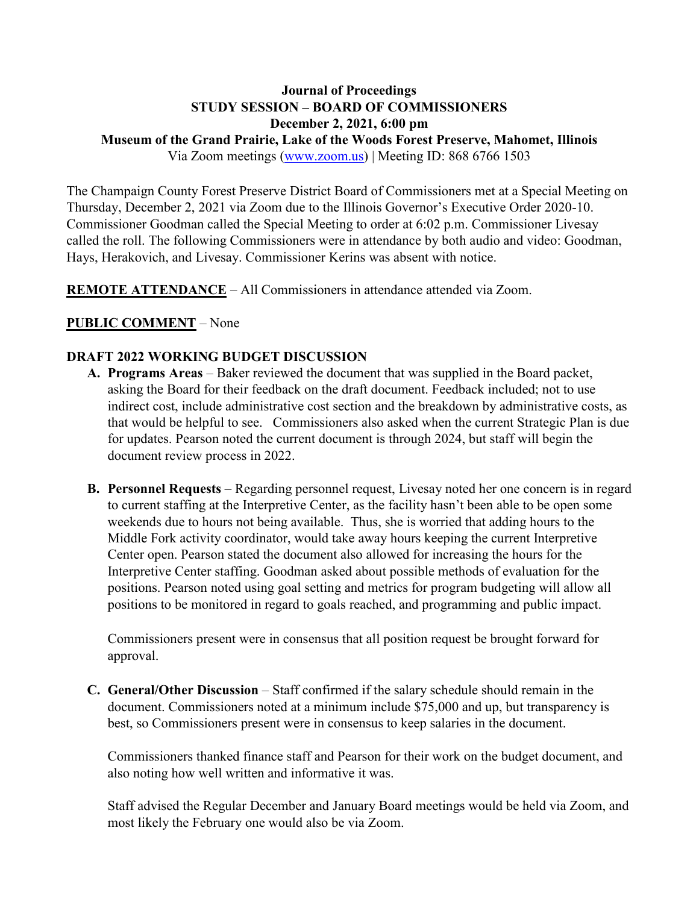# **Journal of Proceedings STUDY SESSION – BOARD OF COMMISSIONERS December 2, 2021, 6:00 pm**

**Museum of the Grand Prairie, Lake of the Woods Forest Preserve, Mahomet, Illinois**

Via Zoom meetings [\(www.zoom.us\)](http://www.zoom.us/) | Meeting ID: 868 6766 1503

The Champaign County Forest Preserve District Board of Commissioners met at a Special Meeting on Thursday, December 2, 2021 via Zoom due to the Illinois Governor's Executive Order 2020-10. Commissioner Goodman called the Special Meeting to order at 6:02 p.m. Commissioner Livesay called the roll. The following Commissioners were in attendance by both audio and video: Goodman, Hays, Herakovich, and Livesay. Commissioner Kerins was absent with notice.

**REMOTE ATTENDANCE** – All Commissioners in attendance attended via Zoom.

### **PUBLIC COMMENT** – None

#### **DRAFT 2022 WORKING BUDGET DISCUSSION**

- **A. Programs Areas** Baker reviewed the document that was supplied in the Board packet, asking the Board for their feedback on the draft document. Feedback included; not to use indirect cost, include administrative cost section and the breakdown by administrative costs, as that would be helpful to see. Commissioners also asked when the current Strategic Plan is due for updates. Pearson noted the current document is through 2024, but staff will begin the document review process in 2022.
- **B. Personnel Requests** Regarding personnel request, Livesay noted her one concern is in regard to current staffing at the Interpretive Center, as the facility hasn't been able to be open some weekends due to hours not being available. Thus, she is worried that adding hours to the Middle Fork activity coordinator, would take away hours keeping the current Interpretive Center open. Pearson stated the document also allowed for increasing the hours for the Interpretive Center staffing. Goodman asked about possible methods of evaluation for the positions. Pearson noted using goal setting and metrics for program budgeting will allow all positions to be monitored in regard to goals reached, and programming and public impact.

Commissioners present were in consensus that all position request be brought forward for approval.

**C. General/Other Discussion** – Staff confirmed if the salary schedule should remain in the document. Commissioners noted at a minimum include \$75,000 and up, but transparency is best, so Commissioners present were in consensus to keep salaries in the document.

Commissioners thanked finance staff and Pearson for their work on the budget document, and also noting how well written and informative it was.

Staff advised the Regular December and January Board meetings would be held via Zoom, and most likely the February one would also be via Zoom.